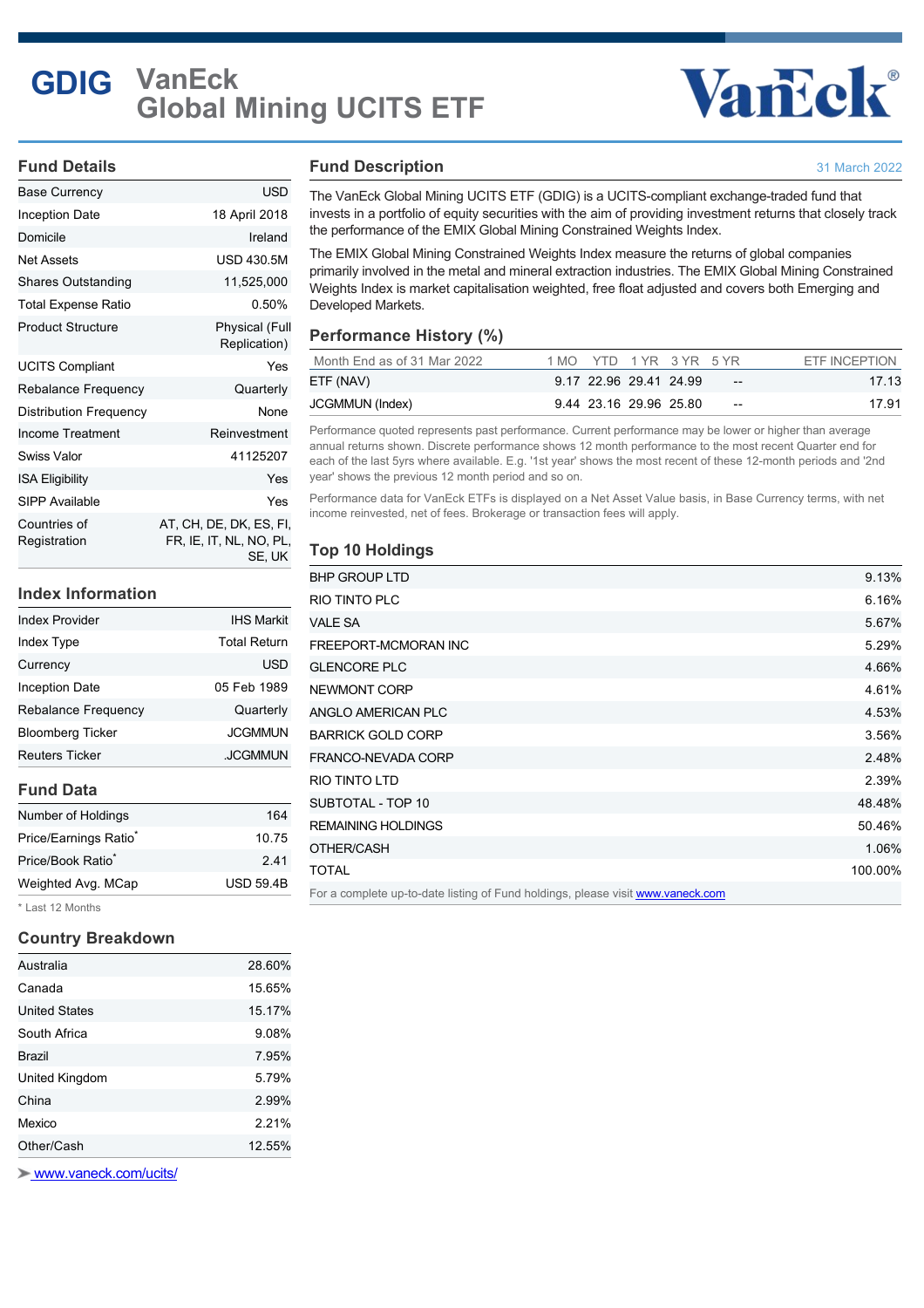# **GDIG VanEck Global Mining UCITS ETF**

# Vancok®

31 March 2022

#### **Fund Details**

| Base Currency                 | USD                                                          |
|-------------------------------|--------------------------------------------------------------|
| Inception Date                | 18 April 2018                                                |
| Domicile                      | Ireland                                                      |
| <b>Net Assets</b>             | <b>USD 430.5M</b>                                            |
| <b>Shares Outstanding</b>     | 11,525,000                                                   |
| Total Expense Ratio           | 0.50%                                                        |
| <b>Product Structure</b>      | Physical (Full<br>Replication)                               |
| <b>UCITS Compliant</b>        | Yes                                                          |
| Rebalance Frequency           | Quarterly                                                    |
| <b>Distribution Frequency</b> | None                                                         |
| Income Treatment              | Reinvestment                                                 |
| <b>Swiss Valor</b>            | 41125207                                                     |
| <b>ISA Eligibility</b>        | Yes                                                          |
| SIPP Available                | Yes                                                          |
| Countries of<br>Registration  | AT, CH, DE, DK, ES, FI,<br>FR, IE, IT, NL, NO, PL,<br>SE. UK |

#### **Index Information**

| <b>Index Provider</b>      | <b>IHS Markit</b>   |
|----------------------------|---------------------|
| Index Type                 | <b>Total Return</b> |
| Currency                   | <b>USD</b>          |
| <b>Inception Date</b>      | 05 Feb 1989         |
| <b>Rebalance Frequency</b> | Quarterly           |
| <b>Bloomberg Ticker</b>    | <b>JCGMMUN</b>      |
| <b>Reuters Ticker</b>      | .JCGMMUN            |

#### **Fund Data**

| Number of Holdings                | 164              |
|-----------------------------------|------------------|
| Price/Earnings Ratio <sup>®</sup> | 10.75            |
| Price/Book Ratio <sup>*</sup>     | 2.41             |
| Weighted Avg. MCap                | <b>USD 59.4B</b> |
|                                   |                  |

\* Last 12 Months

#### **Country Breakdown**

| Australia      | 28.60% |
|----------------|--------|
| Canada         | 15.65% |
| United States  | 15.17% |
| South Africa   | 9.08%  |
| Brazil         | 7.95%  |
| United Kingdom | 5.79%  |
| China          | 2.99%  |
| Mexico         | 2.21%  |
| Other/Cash     | 12.55% |
|                |        |

 [www.vaneck.com/ucits/](http://www.vaneck.com/ucits/)

#### **Fund Description**

The VanEck Global Mining UCITS ETF (GDIG) is a UCITS-compliant exchange-traded fund that invests in a portfolio of equity securities with the aim of providing investment returns that closely track the performance of the EMIX Global Mining Constrained Weights Index.

The EMIX Global Mining Constrained Weights Index measure the returns of global companies primarily involved in the metal and mineral extraction industries. The EMIX Global Mining Constrained Weights Index is market capitalisation weighted, free float adjusted and covers both Emerging and Developed Markets.

### **Performance History (%)**

| Month End as of 31 Mar 2022 |  |                        | 1 MO YTD 1 YR 3 YR 5 YR |                          | ETF INCEPTION |
|-----------------------------|--|------------------------|-------------------------|--------------------------|---------------|
| ETF (NAV)                   |  | 9.17 22.96 29.41 24.99 |                         | $- -$                    | 17.13         |
| JCGMMUN (Index)             |  |                        | 9.44 23.16 29.96 25.80  | $\overline{\phantom{m}}$ | 17.91         |

Performance quoted represents past performance. Current performance may be lower or higher than average annual returns shown. Discrete performance shows 12 month performance to the most recent Quarter end for each of the last 5yrs where available. E.g. '1st year' shows the most recent of these 12-month periods and '2nd year' shows the previous 12 month period and so on.

Performance data for VanEck ETFs is displayed on a Net Asset Value basis, in Base Currency terms, with net income reinvested, net of fees. Brokerage or transaction fees will apply.

## **Top 10 Holdings**

| <b>BHP GROUP LTD</b>                                                            | 9.13%   |
|---------------------------------------------------------------------------------|---------|
| RIO TINTO PLC                                                                   | 6.16%   |
| VALE SA                                                                         | 5.67%   |
| FREEPORT-MCMORAN INC                                                            | 5.29%   |
| <b>GLENCORE PLC</b>                                                             | 4.66%   |
| NEWMONT CORP                                                                    | 4.61%   |
| ANGLO AMERICAN PLC                                                              | 4.53%   |
| <b>BARRICK GOLD CORP</b>                                                        | 3.56%   |
| FRANCO-NEVADA CORP                                                              | 2.48%   |
| <b>RIO TINTO LTD</b>                                                            | 2.39%   |
| SUBTOTAL - TOP 10                                                               | 48.48%  |
| <b>REMAINING HOLDINGS</b>                                                       | 50.46%  |
| OTHER/CASH                                                                      | 1.06%   |
| <b>TOTAL</b>                                                                    | 100.00% |
| For a complete up-to-date listing of Fund holdings, please visit www.vaneck.com |         |